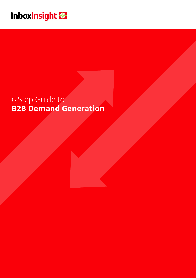# Inboxinsight

# 6 Step Guide to **B2B Demand Generation**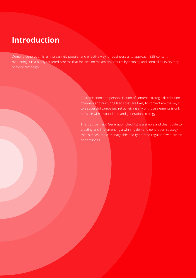# **Introduction**

Demand generation is an increasingly popular and effective way for businessess to approach B2B content marketing. It is a highly targeted process that focuses on maximising results by defining and controlling every step of every campaign.

> Customisation and personalisation of content, strategic distribution channels and nurturing leads that are likely to convert are the keys to a sucessful campaign. Yet acheiving any of those elements is only possible with a sound demand generation strategy.

This B2B Demand Generation checklist is a simple and clear guide to creating and implementing a winning demand generation strategy that is measurable, manageable and generated regular new business opportunties.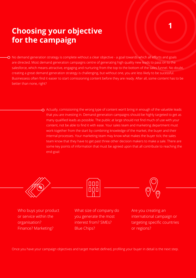# **Choosing your objective for the campaign**

No demand generation strategy is complete without a clear objective - a goal towards which all efforts and goals are directed. Most demand generation campaigns centre of generating high quality new leads to pass on to the salesforce, which means attractive, engaging and nurturing from the top to the bottom of the sales funnel. No doubt, creating a great demand generation strategy is challenging, but without one, you are less likely to be sucessful. Businessess often find it easier to start comissioning content before they are ready. After all, some content has to be better than none, right?

> $\Omega$  Actually, comissioning the wrong type of content won't bring in enough of the valueble leads that you are investing in. Demand generation campaigns should be highly targeted to get as many qualified leads as possible. The public at large should not find much of use with your content, not be able to find it with ease. Your sales team and marketing department must work together from the start by combining knowledge of the market, the buyer and their internal processes. Your marketing team may know what makes the buyer tick; the sales team know that they have to get past three other decision makers to make a sale. There are some key points of information that must be agreed upon that all contribute to reaching the end-goal:



Who buys your product or service within the organisation? Finance? Marketing?

What size of company do you generate the most interest from? SMEs? Blue Chips?

Are you creating an international campaign or targeting specific countries or regions?

**1**

Once you have your campaign objectives and target market defined, profiling your buyer in detail is the next step.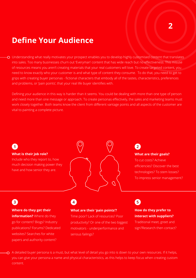# **Define Your Audience**

Understanding what really motivates your prospect enables you to develop highly customised content that translates into sales. Too many businesses churn out 'Everyman' content that has wide reach but no effectiveness. This misuse of resources means you aren't creating materials that your real customers will love. To create targeted content, you need to know exactly who your customer is and what type of content they consume. To do that, you need to get to grips with creating buyer personas - fictional characters that embody all of the tastes, characteristics, preferences and problems, or 'pain points', that your real life buyer identifies with.

Defining your audience in this way is harder than it seems. You could be dealing with more than one type of person and need more than one message or approach. To create personas effectively, the sales and marketing teams must work closely together. Both teams know the client from different vantage points and all aspects of the customer are vital to painting a complete picture.

## **1**

### **What is their job role?**

Include who they report to, how much decision making power they have and how senior they are.



## **2**

### **What are their goals?**

To cut costs? Achieve efficiencies? Discover the best technologies? To stem losses? To impress senior management?

## **3**

#### **Where do they get their**

**information?** Where do they go for content? Biogs? Industry publications? Forums? Dedicated websites? Searches for white papers and authority content?

## **4 5**

### **What are their 'pain points'?**

Time poor? Lack of resources? Poor productivity? Or one of the two biggest motivators - underperformance and serious failings?

# **How do they prefer to**

## **interact with suppliers?**

Traditional meet, greet and sign?Research then contact?

A detailed buyer persona is a must, but what level of detail you go into is down to your own resources. If it helps, you can give your persona a name and physical characteristics, as this helps to keep focus when creating custom content.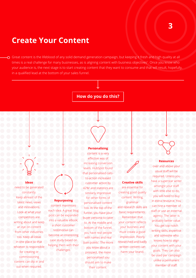## **Create Your Content**

Great content is the lifeblood of any solid demand generation campaign, but keeping it fresh and high quality at all times is a real challenge for many businesses, as is aligning content with business objectives<sup>1</sup>. Once you know who your audience is, the next stage is to start creating content that they want to consume and that will result, hopefully, in a qualified lead at the bottom of your sales funnel.

### **How do you do this?**

#### **Ideas**

need to be generated constantly. Keep abreast of the latest news, views and innovations. Look at what your competitors are writing about and keep an eye on content from other industries too. Keep all ideas in one place so that whoever is responsible for creating or commissioning content can dip in and out when required

### **Personalising**

content is a very effective way of increasing conversion levels. HubSpot found that personalised callsto-action increased customer action by 42%2 and statistics are similarly impressive for other forms of personalised content too. At the top of the funnel, you have your buyer persona to cater to. At the middle and bottom of the funnel, you have real people with names and real 'pain points'. The more you know about a prospect, the more personalised you should aim to make

their content.

**Repurposing** content maximises each idea. A great blog post can be expanded into a valuable eBook; a short customer testimonial can become an interesting case study based on helping them with their challenges.



#### **Creative skills**

are essential for creating good quality content. Writing, grammar and research skills are basic requirements. Remember that your content reflects your business and must create a good impression. Poorly researched and badly written content can harm your brand.

### **Resources**

over and above your usual staff will be required. Unless you have a superstar writer amongst your staff with little else to do, you will need to buy in extra resource. You can hire a member of staff or use an external agency. The latter is probably better value. You get top notch writing skills, expertise and someone who knows how to align your content with your goals. They can also be used per campaign unlike a permanent member of staff.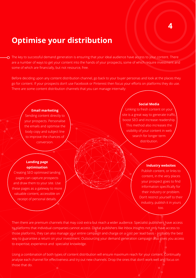## **4**

# **Optimise your distribution**

 $\Omega$  The key to successful demand generation is ensuring that your ideal audience have access to your content. There are a number of ways to get your content into the hands of your prospects, some of which require investment and some of which are financially, but not resource, free.

Before deciding upon any content distribution channel, go back to your buyer personas and look at the places they go for content. If your prospects don't use Facebook or Pinterest then focus your efforts on platforms they do use. There are some content distribution channels that you can manage internally:

### **Email marketing**

Sending content directly to your prospects. Personalise the emails and optimise the body copy and subject line to improve the chances of conversion.

### **Landing page optimisation**

Creating SEO optimised landing pages can capture prospects and draw them to your site. Use these pages as a gateway to more valuable content, accessible on receipt of personal details.

### **Social Media**

Linking to fresh content on your site is a great way to generate traffic boost SEO and increase readership. This method also increases the visibility of your content in web search for longer term distribution.

### **Industry websites**

Publish content, or links to content, in the very places your prospect goes to find information specifically for their industry or problem. Don't restrict yourself to their industry, publish it in yours too.

Then there are premium channels that may cost extra but reach a wider audience. Specialist publishers have access to platforms that individual companies cannot access. Digital publishers like Inbox Insights not only have access to those platforms, they can also manage your entire campaign and charge on a cost per lead basis - probably the best way to guarantee a return on your investment. Outsourcing your demand generation campaign also gives you access to expertise, experience and specialist knowledge.

Using a combination of both types of content distribution will ensure maximum reach for your content. Continually analyse each channel for effectiveness and try out new channels. Drop the ones that don't work well and focus on those that do.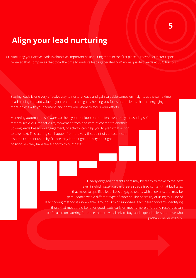# **Align your lead nurturing**

Nurturing your active leads is almost as important as acquiring them in the first place. A recent Forrester report revealed that companies that took the time to nurture leads generated 50% more qualified leads at 33% less cost.

Scoring leads is one very effective way to nurture leads and gain valuable campaign insights at the same time. Lead scoring can add value to your entire campaign by helping you focus on the leads that are engaging more or less with your content, and show you where to focus your efforts.

Marketing automation software can help you monitor content effectiveness by measuring soft metrics like clicks, repeat visits, movement from one item of content to another. Scoring leads based on engagement, or activity, can help you to plan what action to take next. This scoring can happen from the very first point of contact. It can also rank content users by fit - are they in the right industry, the right position, do they have the authority to purchase?

> Heavily engaged content users may be ready to move to the next level, in which case you can create specialised content that facilitates that move to qualified lead. Less engaged users, with a lower score, may be persuadable with a different type of content. The necessity of using this kind of lead scoring method is undeniable. Around 50% of supposed leads never convert4 Identifying those that meet the criteria for good leads early on means more effort and resources can be focused on catering for those that are very likely to buy, and expended less on those who probably never will buy.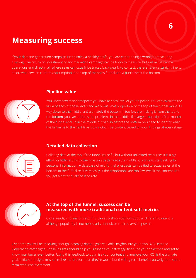# **Measuring success**

If your demand generation campaign isn't turning a healthy profit, you are either doing it wrong or measuring it wrong. The return on investment of any marketing campaign can be tricky to measure, but unlike call centre operations and direct mail, where sales can usually be traced back clearly to contact, there is rarely a straight line to be drawn between content consumption at the top of the sales funnel and a purchase at the bottom.

### **Pipeline value**



You know how many prospects you have at each level of your pipeline. You can calculate the value of each of those levels and work out what proportion of the top of the funnel works its way down to the middle and ultimately the bottom. If too few are making it from the top to the bottom, you can address the problems in the middle. If a large proportion of the mouth of the funnel end up in the middle but vanish before the bottom, you need to identify what the barrier is to the next level down. Optimise content based on your findings at every stage.



### **Detailed data collection**

Collating data at the top of the funnel is useful but without unlimited resources it is a big effort for little return. By the time prospects reach the middle, it is time to start asking for personal information. A database of mid-funnel prospects can be tied to actual sales at the bottom of the funnel relatively easily. If the proportions are too low, tweak the content until you get a better qualified lead rate.



### **At the top of the funnel, success can be measured with more traditional content soft metrics**

Clicks, reads, impressions etc. This can also show you how popular different content is, although popularity is not necessarily an indicator of conversion power.

Over time you will be receiving enough incoming data to gain valuable insights into your own B2B Demand Generation campaigns. Those insights should help you reshape your strategy, fine tune your objectives and get to know your buyer even better. Using this feedback to optimise your content and improve your ROI is the ultimate goal. Initial campaigns may seem like more effort than they're worth but the long-term benefits outweigh the shortterm resource investment.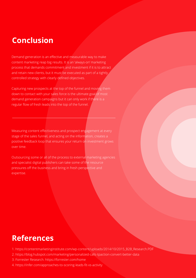# **Conclusion**

Demand generation is an effective and measurable way to make content marketing reap big results. It is an 'always-on' marketing process that demands commitment and investment if it is to attract and retain new clients, but it must be executed as part of a tightly controlled strategy with clearly defined objectives.

Capturing new prospects at the top of the funnel and moving them down to contact with your sales force is the ultimate goal of most demand generation campaigns but it can only work if there is a regular flow of fresh leads into the top of the funnel.

Measuring content effectiveness and prospect engagement at every stage of the sales funnel, and acting on the information, creates a positive feedback loop that ensures your return on investment grows over time.

Outsourcing some or all of the process to external marketing agencies and specialist digital publishers can take some of the resource pressures off the business and bring in fresh perspective and expertise.

# **References**

- 1. https://contentmarketinginstitute.com/wp-content/uploads/2014/10/2015\_B2B\_Research.PDF
- 2. https://blog.hubspot.com/marketing/personalized-calls-tpaction-convert-better-data
- 3. Forrester Research. https://forrester.com/home
- 4. https://infer.com/approaches-to-scoring-leads-fit-vs-activity